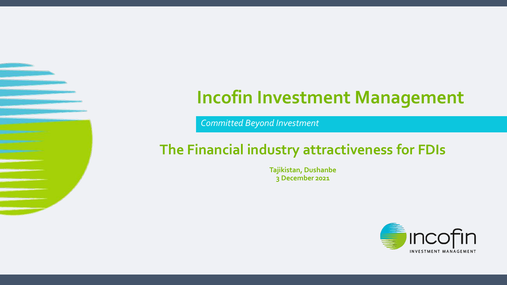# **Incofin Investment Management**

*Committed Beyond Investment*

## **The Financial industry attractiveness for FDIs**

**Tajikistan, Dushanbe 3 December 2021**

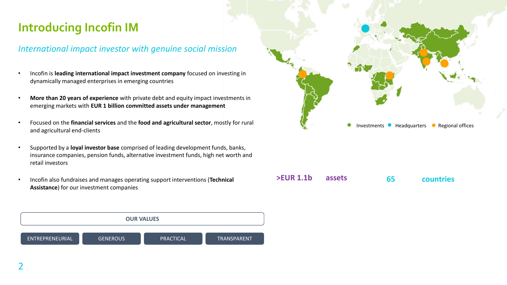## **Introducing Incofin IM**

### *International impact investor with genuine social mission*

- Incofin is **leading international impact investment company** focused on investing in dynamically managed enterprises in emerging countries
- **More than 20 years of experience** with private debt and equity impact investments in emerging markets with **EUR 1 billion committed assets under management**
- Focused on the **financial services** and the **food and agricultural sector**, mostly for rural and agricultural end-clients
- Supported by a **loyal investor base** comprised of leading development funds, banks, insurance companies, pension funds, alternative investment funds, high net worth and retail investors
- Incofin also fundraises and manages operating support interventions (**Technical Assistance**) for our investment companies





### **>EUR 1.1b assets 65 countries**